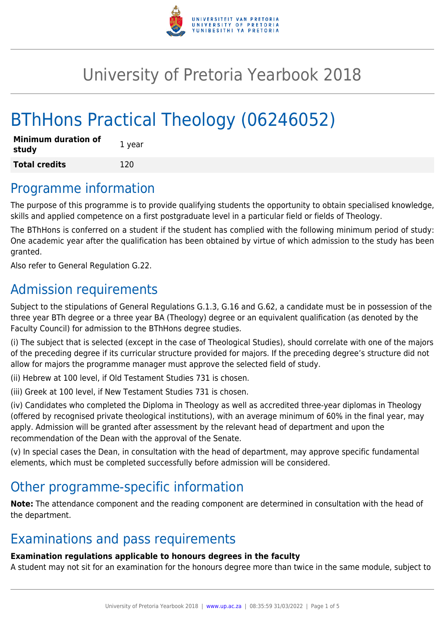

## University of Pretoria Yearbook 2018

# BThHons Practical Theology (06246052)

| <b>Minimum duration of</b><br>study | 1 year |
|-------------------------------------|--------|
| <b>Total credits</b>                | 120    |

### Programme information

The purpose of this programme is to provide qualifying students the opportunity to obtain specialised knowledge, skills and applied competence on a first postgraduate level in a particular field or fields of Theology.

The BThHons is conferred on a student if the student has complied with the following minimum period of study: One academic year after the qualification has been obtained by virtue of which admission to the study has been granted.

Also refer to General Regulation G.22.

### Admission requirements

Subject to the stipulations of General Regulations G.1.3, G.16 and G.62, a candidate must be in possession of the three year BTh degree or a three year BA (Theology) degree or an equivalent qualification (as denoted by the Faculty Council) for admission to the BThHons degree studies.

(i) The subject that is selected (except in the case of Theological Studies), should correlate with one of the majors of the preceding degree if its curricular structure provided for majors. If the preceding degree's structure did not allow for majors the programme manager must approve the selected field of study.

(ii) Hebrew at 100 level, if Old Testament Studies 731 is chosen.

(iii) Greek at 100 level, if New Testament Studies 731 is chosen.

(iv) Candidates who completed the Diploma in Theology as well as accredited three-year diplomas in Theology (offered by recognised private theological institutions), with an average minimum of 60% in the final year, may apply. Admission will be granted after assessment by the relevant head of department and upon the recommendation of the Dean with the approval of the Senate.

(v) In special cases the Dean, in consultation with the head of department, may approve specific fundamental elements, which must be completed successfully before admission will be considered.

### Other programme-specific information

**Note:** The attendance component and the reading component are determined in consultation with the head of the department.

### Examinations and pass requirements

#### **Examination regulations applicable to honours degrees in the faculty**

A student may not sit for an examination for the honours degree more than twice in the same module, subject to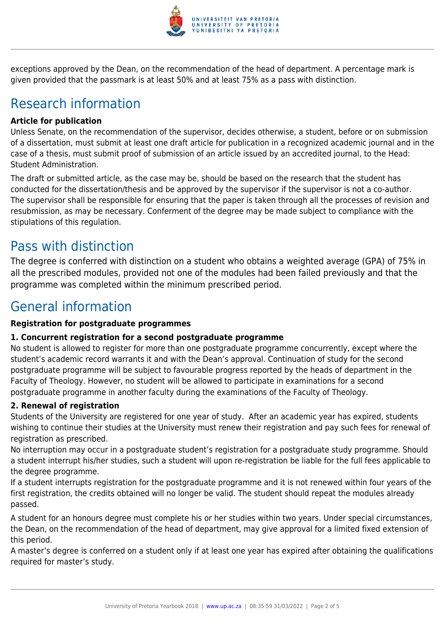

exceptions approved by the Dean, on the recommendation of the head of department. A percentage mark is given provided that the passmark is at least 50% and at least 75% as a pass with distinction.

## Research information

#### **Article for publication**

Unless Senate, on the recommendation of the supervisor, decides otherwise, a student, before or on submission of a dissertation, must submit at least one draft article for publication in a recognized academic journal and in the case of a thesis, must submit proof of submission of an article issued by an accredited journal, to the Head: Student Administration.

The draft or submitted article, as the case may be, should be based on the research that the student has conducted for the dissertation/thesis and be approved by the supervisor if the supervisor is not a co-author. The supervisor shall be responsible for ensuring that the paper is taken through all the processes of revision and resubmission, as may be necessary. Conferment of the degree may be made subject to compliance with the stipulations of this regulation.

### Pass with distinction

The degree is conferred with distinction on a student who obtains a weighted average (GPA) of 75% in all the prescribed modules, provided not one of the modules had been failed previously and that the programme was completed within the minimum prescribed period.

### General information

#### **Registration for postgraduate programmes**

#### **1. Concurrent registration for a second postgraduate programme**

No student is allowed to register for more than one postgraduate programme concurrently, except where the student's academic record warrants it and with the Dean's approval. Continuation of study for the second postgraduate programme will be subject to favourable progress reported by the heads of department in the Faculty of Theology. However, no student will be allowed to participate in examinations for a second postgraduate programme in another faculty during the examinations of the Faculty of Theology.

#### **2. Renewal of registration**

Students of the University are registered for one year of study. After an academic year has expired, students wishing to continue their studies at the University must renew their registration and pay such fees for renewal of registration as prescribed.

No interruption may occur in a postgraduate student's registration for a postgraduate study programme. Should a student interrupt his/her studies, such a student will upon re-registration be liable for the full fees applicable to the degree programme.

If a student interrupts registration for the postgraduate programme and it is not renewed within four years of the first registration, the credits obtained will no longer be valid. The student should repeat the modules already passed.

A student for an honours degree must complete his or her studies within two years. Under special circumstances, the Dean, on the recommendation of the head of department, may give approval for a limited fixed extension of this period.

A master's degree is conferred on a student only if at least one year has expired after obtaining the qualifications required for master's study.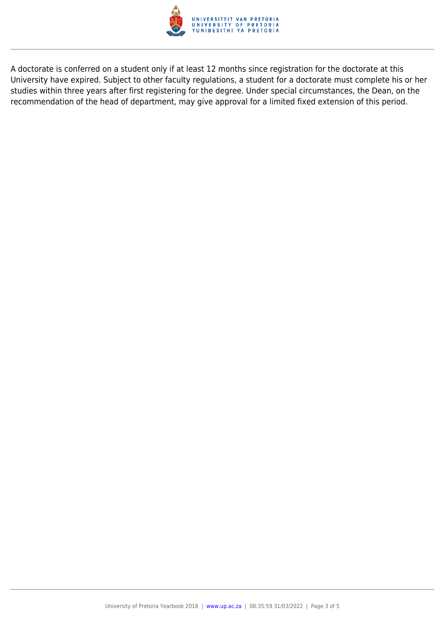

A doctorate is conferred on a student only if at least 12 months since registration for the doctorate at this University have expired. Subject to other faculty regulations, a student for a doctorate must complete his or her studies within three years after first registering for the degree. Under special circumstances, the Dean, on the recommendation of the head of department, may give approval for a limited fixed extension of this period.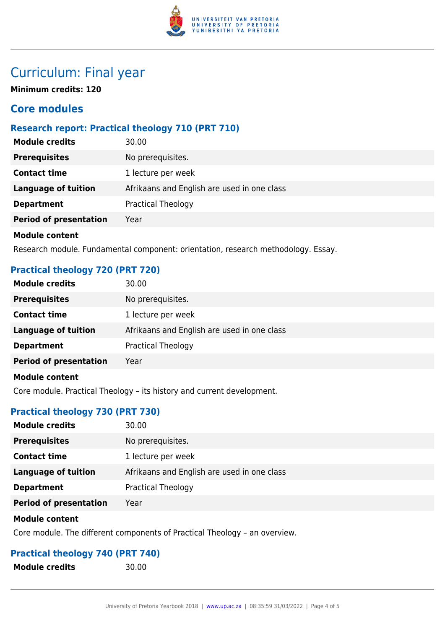

### Curriculum: Final year

**Minimum credits: 120**

### **Core modules**

#### **Research report: Practical theology 710 (PRT 710)**

| <b>Module credits</b>         | 30.00                                       |
|-------------------------------|---------------------------------------------|
| <b>Prerequisites</b>          | No prerequisites.                           |
| <b>Contact time</b>           | 1 lecture per week                          |
| <b>Language of tuition</b>    | Afrikaans and English are used in one class |
| <b>Department</b>             | <b>Practical Theology</b>                   |
| <b>Period of presentation</b> | Year                                        |
| <b>Module content</b>         |                                             |

Research module. Fundamental component: orientation, research methodology. Essay.

#### **Practical theology 720 (PRT 720)**

| <b>Module credits</b>         | 30.00                                       |
|-------------------------------|---------------------------------------------|
| <b>Prerequisites</b>          | No prerequisites.                           |
| <b>Contact time</b>           | 1 lecture per week                          |
| <b>Language of tuition</b>    | Afrikaans and English are used in one class |
| <b>Department</b>             | <b>Practical Theology</b>                   |
| <b>Period of presentation</b> | Year                                        |
| <b>Module content</b>         |                                             |

Core module. Practical Theology – its history and current development.

#### **Practical theology 730 (PRT 730)**

| <b>Module credits</b>         | 30.00                                       |
|-------------------------------|---------------------------------------------|
| <b>Prerequisites</b>          | No prerequisites.                           |
| <b>Contact time</b>           | 1 lecture per week                          |
| Language of tuition           | Afrikaans and English are used in one class |
| <b>Department</b>             | Practical Theology                          |
| <b>Period of presentation</b> | Year                                        |

#### **Module content**

Core module. The different components of Practical Theology – an overview.

#### **Practical theology 740 (PRT 740)**

**Module credits** 30.00